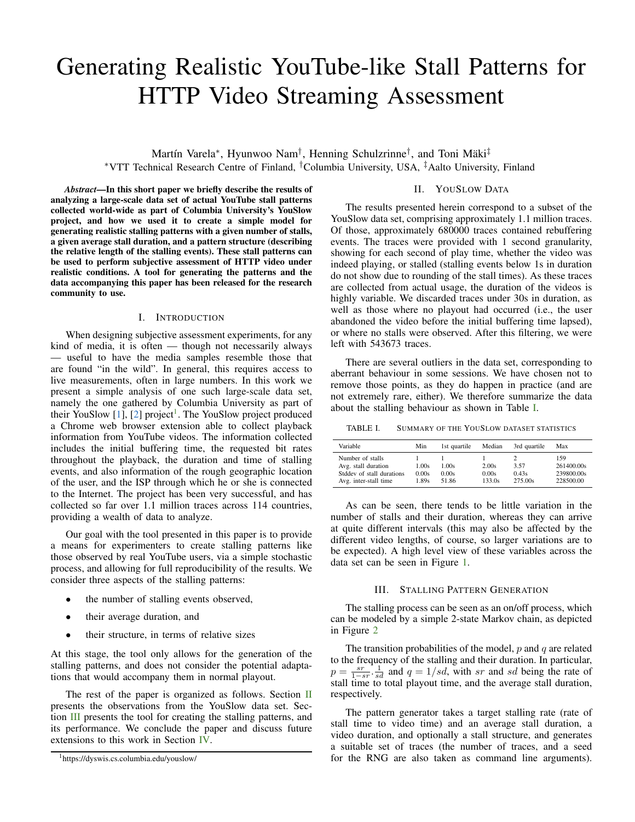# Generating Realistic YouTube-like Stall Patterns for HTTP Video Streaming Assessment

Martín Varela<sup>∗</sup>, Hyunwoo Nam<sup>†</sup>, Henning Schulzrinne<sup>†</sup>, and Toni Mäki<sup>‡</sup> *∗*VTT Technical Research Centre of Finland, *†*Columbia University, USA, *‡*Aalto University, Finland

*Abstract*—In this short paper we briefly describe the results of analyzing a large-scale data set of actual YouTube stall patterns collected world-wide as part of Columbia University's YouSlow project, and how we used it to create a simple model for generating realistic stalling patterns with a given number of stalls, a given average stall duration, and a pattern structure (describing the relative length of the stalling events). These stall patterns can be used to perform subjective assessment of HTTP video under realistic conditions. A tool for generating the patterns and the data accompanying this paper has been released for the research community to use.

### I. INTRODUCTION

When designing subjective assessment experiments, for any kind of media, it is often — though not necessarily always — useful to have the media samples resemble those that are found "in the wild". In general, this requires access to live measurements, often in large numbers. In this work we present a simple analysis of one such large-scale data set, namely the one gathered by Columbia University as part of their YouSlow  $[1]$  $[1]$ ,  $[2]$  $[2]$  project<sup>[1](#page-0-0)</sup>. The YouSlow project produced a Chrome web browser extension able to collect playback information from YouTube videos. The information collected includes the initial buffering time, the requested bit rates throughout the playback, the duration and time of stalling events, and also information of the rough geographic location of the user, and the ISP through which he or she is connected to the Internet. The project has been very successful, and has collected so far over 1.1 million traces across 114 countries, providing a wealth of data to analyze.

Our goal with the tool presented in this paper is to provide a means for experimenters to create stalling patterns like those observed by real YouTube users, via a simple stochastic process, and allowing for full reproducibility of the results. We consider three aspects of the stalling patterns:

- the number of stalling events observed,
- *•* their average duration, and
- their structure, in terms of relative sizes

At this stage, the tool only allows for the generation of the stalling patterns, and does not consider the potential adaptations that would accompany them in normal playout.

The rest of the paper is organized as follows. Section  $\Pi$ presents the observations from the YouSlow data set. Section [III](#page-0-2) presents the tool for creating the stalling patterns, and its performance. We conclude the paper and discuss future extensions to this work in Section [IV](#page-1-2).

# II. YOUSLOW DATA

<span id="page-0-1"></span>The results presented herein correspond to a subset of the YouSlow data set, comprising approximately 1.1 million traces. Of those, approximately 680000 traces contained rebuffering events. The traces were provided with 1 second granularity, showing for each second of play time, whether the video was indeed playing, or stalled (stalling events below 1s in duration do not show due to rounding of the stall times). As these traces are collected from actual usage, the duration of the videos is highly variable. We discarded traces under 30s in duration, as well as those where no playout had occurred (i.e., the user abandoned the video before the initial buffering time lapsed), or where no stalls were observed. After this filtering, we were left with 543673 traces.

There are several outliers in the data set, corresponding to aberrant behaviour in some sessions. We have chosen not to remove those points, as they do happen in practice (and are not extremely rare, either). We therefore summarize the data about the stalling behaviour as shown in Table [I](#page-0-3).

<span id="page-0-3"></span>TABLE I. SUMMARY OF THE YOUSLOW DATASET STATISTICS

| Variable                                                                                      | Min                     | 1st quartile            | Median                   | 3rd quartile             | Max                                          |
|-----------------------------------------------------------------------------------------------|-------------------------|-------------------------|--------------------------|--------------------------|----------------------------------------------|
| Number of stalls<br>Avg. stall duration<br>Stddev of stall durations<br>Avg. inter-stall time | 1.00s<br>0.00s<br>1.89s | 1.00s<br>0.00s<br>51.86 | 2.00s<br>0.00s<br>133.0s | 3.57<br>0.43s<br>275.00s | 159<br>261400.00s<br>239800.00s<br>228500.00 |

As can be seen, there tends to be little variation in the number of stalls and their duration, whereas they can arrive at quite different intervals (this may also be affected by the different video lengths, of course, so larger variations are to be expected). A high level view of these variables across the data set can be seen in Figure [1.](#page-1-3)

## III. STALLING PATTERN GENERATION

<span id="page-0-2"></span>The stalling process can be seen as an on/off process, which can be modeled by a simple 2-state Markov chain, as depicted in Figure [2](#page-1-4)

The transition probabilities of the model, *p* and *q* are related to the frequency of the stalling and their duration. In particular,  $p = \frac{sr}{1 - sr}$ ,  $\frac{1}{sd}$  and  $q = 1/sd$ , with *sr* and *sd* being the rate of stall time to total playout time, and the average stall duration, respectively.

The pattern generator takes a target stalling rate (rate of stall time to video time) and an average stall duration, a video duration, and optionally a stall structure, and generates a suitable set of traces (the number of traces, and a seed for the RNG are also taken as command line arguments).

<span id="page-0-0"></span><sup>1</sup>https://dyswis.cs.columbia.edu/youslow/